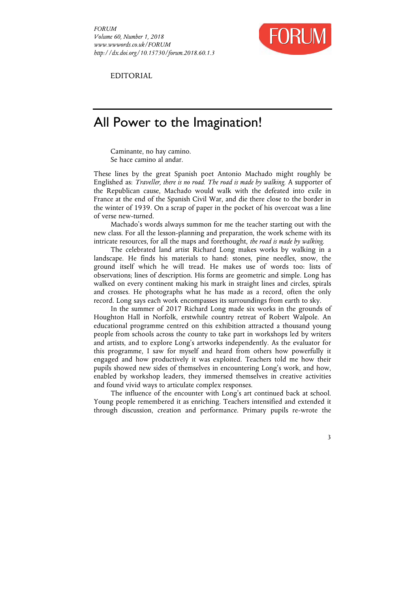

EDITORIAL

# All Power to the Imagination!

Caminante, no hay camino. Se hace camino al andar.

These lines by the great Spanish poet Antonio Machado might roughly be Englished as: *Traveller, there is no road. The road is made by walking.* A supporter of the Republican cause, Machado would walk with the defeated into exile in France at the end of the Spanish Civil War, and die there close to the border in the winter of 1939. On a scrap of paper in the pocket of his overcoat was a line of verse new-turned.

Machado's words always summon for me the teacher starting out with the new class. For all the lesson-planning and preparation, the work scheme with its intricate resources, for all the maps and forethought, *the road is made by walking*.

The celebrated land artist Richard Long makes works by walking in a landscape. He finds his materials to hand: stones, pine needles, snow, the ground itself which he will tread. He makes use of words too: lists of observations; lines of description. His forms are geometric and simple. Long has walked on every continent making his mark in straight lines and circles, spirals and crosses. He photographs what he has made as a record, often the only record. Long says each work encompasses its surroundings from earth to sky.

In the summer of 2017 Richard Long made six works in the grounds of Houghton Hall in Norfolk, erstwhile country retreat of Robert Walpole. An educational programme centred on this exhibition attracted a thousand young people from schools across the county to take part in workshops led by writers and artists, and to explore Long's artworks independently. As the evaluator for this programme, I saw for myself and heard from others how powerfully it engaged and how productively it was exploited. Teachers told me how their pupils showed new sides of themselves in encountering Long's work, and how, enabled by workshop leaders, they immersed themselves in creative activities and found vivid ways to articulate complex responses.

The influence of the encounter with Long's art continued back at school. Young people remembered it as enriching. Teachers intensified and extended it through discussion, creation and performance. Primary pupils re-wrote the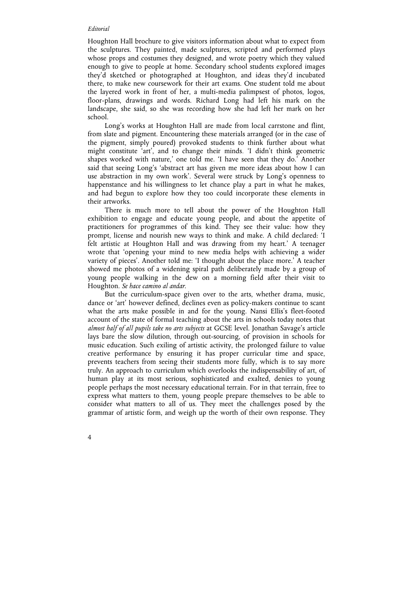#### *Editorial*

Houghton Hall brochure to give visitors information about what to expect from the sculptures. They painted, made sculptures, scripted and performed plays whose props and costumes they designed, and wrote poetry which they valued enough to give to people at home. Secondary school students explored images they'd sketched or photographed at Houghton, and ideas they'd incubated there, to make new coursework for their art exams. One student told me about the layered work in front of her, a multi-media palimpsest of photos, logos, floor-plans, drawings and words. Richard Long had left his mark on the landscape, she said, so she was recording how she had left her mark on her school.

Long's works at Houghton Hall are made from local carrstone and flint, from slate and pigment. Encountering these materials arranged (or in the case of the pigment, simply poured) provoked students to think further about what might constitute 'art', and to change their minds*.* 'I didn't think geometric shapes worked with nature,' one told me. 'I have seen that they do.' Another said that seeing Long's 'abstract art has given me more ideas about how I can use abstraction in my own work'. Several were struck by Long's openness to happenstance and his willingness to let chance play a part in what he makes, and had begun to explore how they too could incorporate these elements in their artworks.

There is much more to tell about the power of the Houghton Hall exhibition to engage and educate young people, and about the appetite of practitioners for programmes of this kind. They see their value: how they prompt, license and nourish new ways to think and make. A child declared: 'I felt artistic at Houghton Hall and was drawing from my heart.' A teenager wrote that 'opening your mind to new media helps with achieving a wider variety of pieces'. Another told me: 'I thought about the place more.' A teacher showed me photos of a widening spiral path deliberately made by a group of young people walking in the dew on a morning field after their visit to Houghton. *Se hace camino al andar*.

But the curriculum-space given over to the arts, whether drama, music, dance or 'art' however defined, declines even as policy-makers continue to scant what the arts make possible in and for the young. Nansi Ellis's fleet-footed account of the state of formal teaching about the arts in schools today notes that *almost half of all pupils take no arts subjects* at GCSE level. Jonathan Savage's article lays bare the slow dilution, through out-sourcing, of provision in schools for music education. Such exiling of artistic activity, the prolonged failure to value creative performance by ensuring it has proper curricular time and space, prevents teachers from seeing their students more fully, which is to say more truly. An approach to curriculum which overlooks the indispensability of art, of human play at its most serious, sophisticated and exalted, denies to young people perhaps the most necessary educational terrain. For in that terrain, free to express what matters to them, young people prepare themselves to be able to consider what matters to all of us. They meet the challenges posed by the grammar of artistic form, and weigh up the worth of their own response. They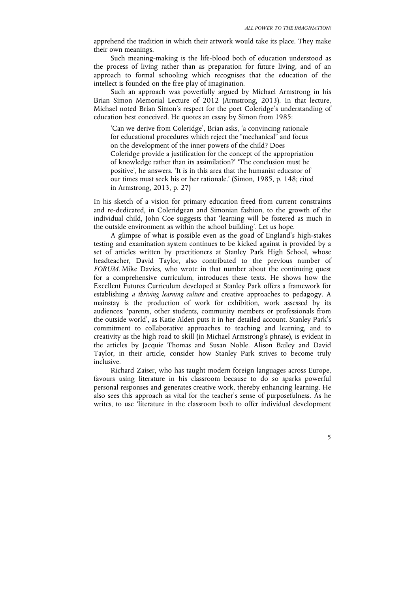apprehend the tradition in which their artwork would take its place. They make their own meanings.

Such meaning-making is the life-blood both of education understood as the process of living rather than as preparation for future living, and of an approach to formal schooling which recognises that the education of the intellect is founded on the free play of imagination.

Such an approach was powerfully argued by Michael Armstrong in his Brian Simon Memorial Lecture of 2012 (Armstrong, 2013). In that lecture, Michael noted Brian Simon's respect for the poet Coleridge's understanding of education best conceived. He quotes an essay by Simon from 1985:

'Can we derive from Coleridge', Brian asks, 'a convincing rationale for educational procedures which reject the "mechanical" and focus on the development of the inner powers of the child? Does Coleridge provide a justification for the concept of the appropriation of knowledge rather than its assimilation?' 'The conclusion must be positive', he answers. 'It is in this area that the humanist educator of our times must seek his or her rationale.' (Simon, 1985, p. 148; cited in Armstrong, 2013, p. 27)

In his sketch of a vision for primary education freed from current constraints and re-dedicated, in Coleridgean and Simonian fashion, to the growth of the individual child, John Coe suggests that 'learning will be fostered as much in the outside environment as within the school building'. Let us hope.

A glimpse of what is possible even as the goad of England's high-stakes testing and examination system continues to be kicked against is provided by a set of articles written by practitioners at Stanley Park High School, whose headteacher, David Taylor, also contributed to the previous number of *FORUM*. Mike Davies, who wrote in that number about the continuing quest for a comprehensive curriculum, introduces these texts. He shows how the Excellent Futures Curriculum developed at Stanley Park offers a framework for establishing *a thriving learning culture* and creative approaches to pedagogy. A mainstay is the production of work for exhibition, work assessed by its audiences: 'parents, other students, community members or professionals from the outside world', as Katie Alden puts it in her detailed account. Stanley Park's commitment to collaborative approaches to teaching and learning, and to creativity as the high road to skill (in Michael Armstrong's phrase), is evident in the articles by Jacquie Thomas and Susan Noble. Alison Bailey and David Taylor, in their article, consider how Stanley Park strives to become truly inclusive.

Richard Zaiser, who has taught modern foreign languages across Europe, favours using literature in his classroom because to do so sparks powerful personal responses and generates creative work, thereby enhancing learning. He also sees this approach as vital for the teacher's sense of purposefulness. As he writes, to use 'literature in the classroom both to offer individual development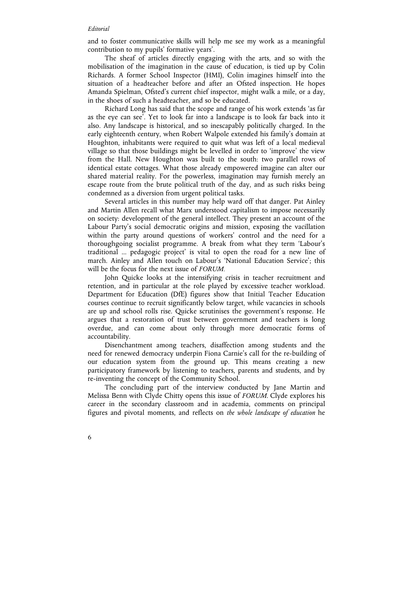#### *Editorial*

and to foster communicative skills will help me see my work as a meaningful contribution to my pupils' formative years'.

The sheaf of articles directly engaging with the arts, and so with the mobilisation of the imagination in the cause of education, is tied up by Colin Richards. A former School Inspector (HMI), Colin imagines himself into the situation of a headteacher before and after an Ofsted inspection. He hopes Amanda Spielman, Ofsted's current chief inspector, might walk a mile, or a day, in the shoes of such a headteacher, and so be educated.

Richard Long has said that the scope and range of his work extends 'as far as the eye can see'. Yet to look far into a landscape is to look far back into it also. Any landscape is historical, and so inescapably politically charged. In the early eighteenth century, when Robert Walpole extended his family's domain at Houghton, inhabitants were required to quit what was left of a local medieval village so that those buildings might be levelled in order to 'improve' the view from the Hall. New Houghton was built to the south: two parallel rows of identical estate cottages. What those already empowered imagine can alter our shared material reality. For the powerless, imagination may furnish merely an escape route from the brute political truth of the day, and as such risks being condemned as a diversion from urgent political tasks.

Several articles in this number may help ward off that danger. Pat Ainley and Martin Allen recall what Marx understood capitalism to impose necessarily on society: development of the general intellect. They present an account of the Labour Party's social democratic origins and mission, exposing the vacillation within the party around questions of workers' control and the need for a thoroughgoing socialist programme. A break from what they term 'Labour's traditional ... pedagogic project' is vital to open the road for a new line of march. Ainley and Allen touch on Labour's 'National Education Service'; this will be the focus for the next issue of *FORUM.*

John Quicke looks at the intensifying crisis in teacher recruitment and retention, and in particular at the role played by excessive teacher workload. Department for Education (DfE) figures show that Initial Teacher Education courses continue to recruit significantly below target, while vacancies in schools are up and school rolls rise. Quicke scrutinises the government's response. He argues that a restoration of trust between government and teachers is long overdue, and can come about only through more democratic forms of accountability.

Disenchantment among teachers, disaffection among students and the need for renewed democracy underpin Fiona Carnie's call for the re-building of our education system from the ground up. This means creating a new participatory framework by listening to teachers, parents and students, and by re-inventing the concept of the Community School.

The concluding part of the interview conducted by Jane Martin and Melissa Benn with Clyde Chitty opens this issue of *FORUM*. Clyde explores his career in the secondary classroom and in academia, comments on principal figures and pivotal moments, and reflects on *the whole landscape of education* he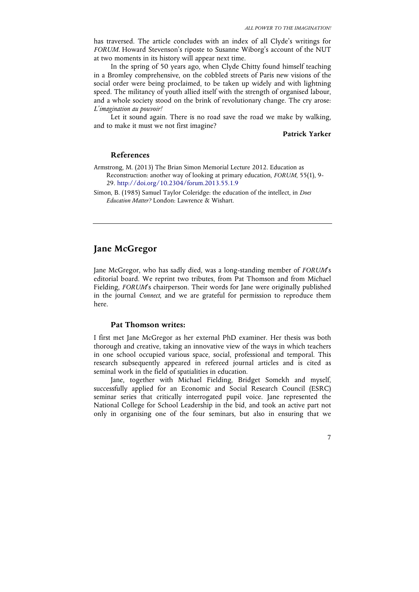has traversed. The article concludes with an index of all Clyde's writings for *FORUM*. Howard Stevenson's riposte to Susanne Wiborg's account of the NUT at two moments in its history will appear next time.

In the spring of 50 years ago, when Clyde Chitty found himself teaching in a Bromley comprehensive, on the cobbled streets of Paris new visions of the social order were being proclaimed, to be taken up widely and with lightning speed. The militancy of youth allied itself with the strength of organised labour, and a whole society stood on the brink of revolutionary change. The cry arose: *L'imagination au pouvoir!*

Let it sound again. There is no road save the road we make by walking, and to make it must we not first imagine?

# **Patrick Yarker**

7

## **References**

- Armstrong, M. (2013) The Brian Simon Memorial Lecture 2012. Education as Reconstruction: another way of looking at primary education, *FORUM*, 55(1), 9- 29. http://doi.org/10.2304/forum.2013.55.1.9
- Simon, B. (1985) Samuel Taylor Coleridge: the education of the intellect, in *Does Education Matter?* London: Lawrence & Wishart.

# **Jane McGregor**

Jane McGregor, who has sadly died, was a long-standing member of *FORUM*'s editorial board. We reprint two tributes, from Pat Thomson and from Michael Fielding, *FORUM*'s chairperson. Their words for Jane were originally published in the journal *Connect*, and we are grateful for permission to reproduce them here.

#### **Pat Thomson writes:**

I first met Jane McGregor as her external PhD examiner. Her thesis was both thorough and creative, taking an innovative view of the ways in which teachers in one school occupied various space, social, professional and temporal. This research subsequently appeared in refereed journal articles and is cited as seminal work in the field of spatialities in education.

Jane, together with Michael Fielding, Bridget Somekh and myself, successfully applied for an Economic and Social Research Council (ESRC) seminar series that critically interrogated pupil voice. Jane represented the National College for School Leadership in the bid, and took an active part not only in organising one of the four seminars, but also in ensuring that we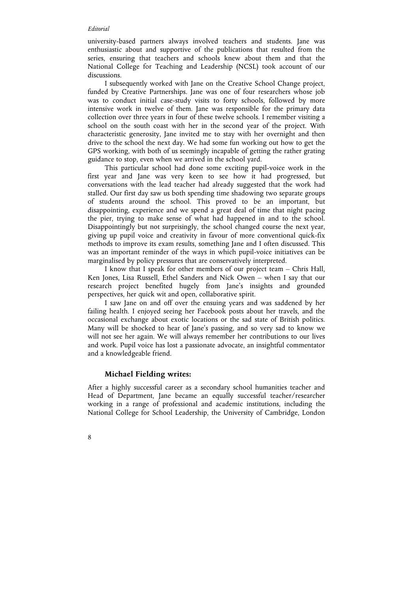#### *Editorial*

university-based partners always involved teachers and students. Jane was enthusiastic about and supportive of the publications that resulted from the series, ensuring that teachers and schools knew about them and that the National College for Teaching and Leadership (NCSL) took account of our discussions.

I subsequently worked with Jane on the Creative School Change project, funded by Creative Partnerships. Jane was one of four researchers whose job was to conduct initial case-study visits to forty schools, followed by more intensive work in twelve of them. Jane was responsible for the primary data collection over three years in four of these twelve schools. I remember visiting a school on the south coast with her in the second year of the project. With characteristic generosity, Jane invited me to stay with her overnight and then drive to the school the next day. We had some fun working out how to get the GPS working, with both of us seemingly incapable of getting the rather grating guidance to stop, even when we arrived in the school yard.

This particular school had done some exciting pupil-voice work in the first year and Jane was very keen to see how it had progressed, but conversations with the lead teacher had already suggested that the work had stalled. Our first day saw us both spending time shadowing two separate groups of students around the school. This proved to be an important, but disappointing, experience and we spend a great deal of time that night pacing the pier, trying to make sense of what had happened in and to the school. Disappointingly but not surprisingly, the school changed course the next year, giving up pupil voice and creativity in favour of more conventional quick-fix methods to improve its exam results, something Jane and I often discussed. This was an important reminder of the ways in which pupil-voice initiatives can be marginalised by policy pressures that are conservatively interpreted.

I know that I speak for other members of our project team – Chris Hall, Ken Jones, Lisa Russell, Ethel Sanders and Nick Owen – when I say that our research project benefited hugely from Jane's insights and grounded perspectives, her quick wit and open, collaborative spirit.

I saw Jane on and off over the ensuing years and was saddened by her failing health. I enjoyed seeing her Facebook posts about her travels, and the occasional exchange about exotic locations or the sad state of British politics. Many will be shocked to hear of Jane's passing, and so very sad to know we will not see her again. We will always remember her contributions to our lives and work. Pupil voice has lost a passionate advocate, an insightful commentator and a knowledgeable friend.

### **Michael Fielding writes:**

After a highly successful career as a secondary school humanities teacher and Head of Department, Jane became an equally successful teacher/researcher working in a range of professional and academic institutions, including the National College for School Leadership, the University of Cambridge, London